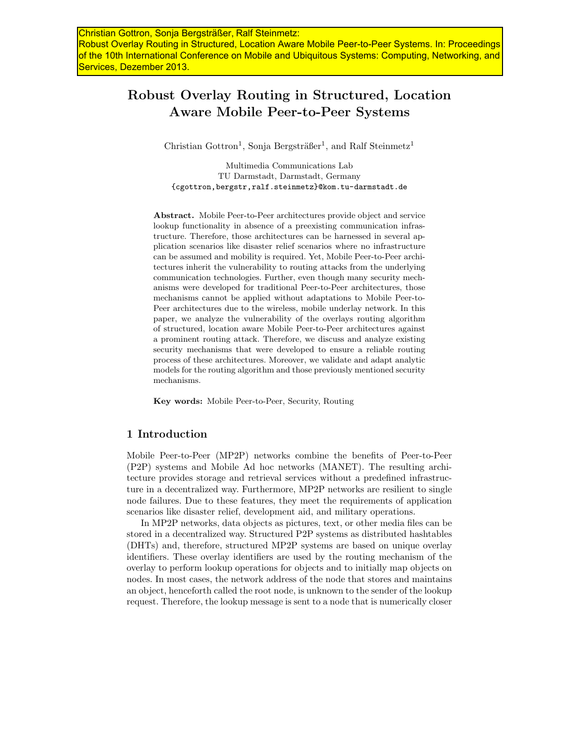# Robust Overlay Routing in Structured, Location Aware Mobile Peer-to-Peer Systems

Christian Gottron<sup>1</sup>, Sonja Bergsträßer<sup>1</sup>, and Ralf Steinmetz<sup>1</sup>

Multimedia Communications Lab TU Darmstadt, Darmstadt, Germany {cgottron,bergstr,ralf.steinmetz}@kom.tu-darmstadt.de

Abstract. Mobile Peer-to-Peer architectures provide object and service lookup functionality in absence of a preexisting communication infrastructure. Therefore, those architectures can be harnessed in several application scenarios like disaster relief scenarios where no infrastructure can be assumed and mobility is required. Yet, Mobile Peer-to-Peer architectures inherit the vulnerability to routing attacks from the underlying communication technologies. Further, even though many security mechanisms were developed for traditional Peer-to-Peer architectures, those mechanisms cannot be applied without adaptations to Mobile Peer-to-Peer architectures due to the wireless, mobile underlay network. In this paper, we analyze the vulnerability of the overlays routing algorithm of structured, location aware Mobile Peer-to-Peer architectures against a prominent routing attack. Therefore, we discuss and analyze existing security mechanisms that were developed to ensure a reliable routing process of these architectures. Moreover, we validate and adapt analytic models for the routing algorithm and those previously mentioned security mechanisms.

Key words: Mobile Peer-to-Peer, Security, Routing

# 1 Introduction

Mobile Peer-to-Peer (MP2P) networks combine the benefits of Peer-to-Peer (P2P) systems and Mobile Ad hoc networks (MANET). The resulting architecture provides storage and retrieval services without a predefined infrastructure in a decentralized way. Furthermore, MP2P networks are resilient to single node failures. Due to these features, they meet the requirements of application scenarios like disaster relief, development aid, and military operations.

In MP2P networks, data objects as pictures, text, or other media files can be stored in a decentralized way. Structured P2P systems as distributed hashtables (DHTs) and, therefore, structured MP2P systems are based on unique overlay identifiers. These overlay identifiers are used by the routing mechanism of the overlay to perform lookup operations for objects and to initially map objects on nodes. In most cases, the network address of the node that stores and maintains an object, henceforth called the root node, is unknown to the sender of the lookup request. Therefore, the lookup message is sent to a node that is numerically closer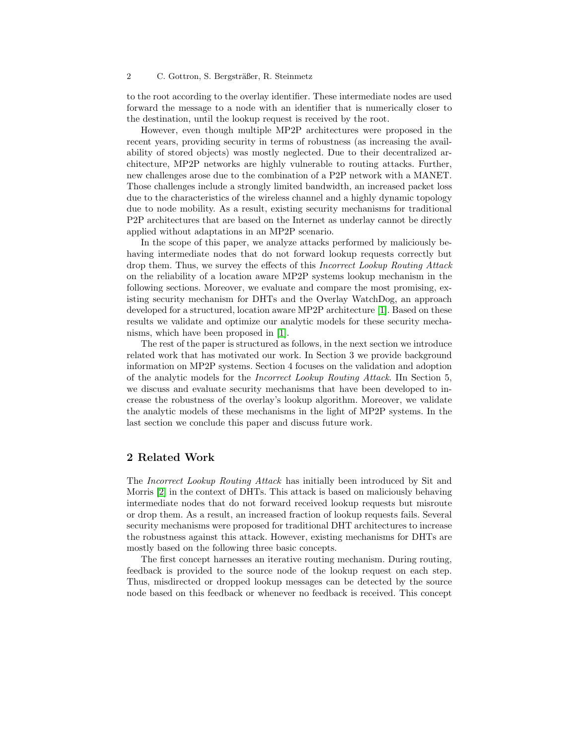to the root according to the overlay identifier. These intermediate nodes are used forward the message to a node with an identifier that is numerically closer to the destination, until the lookup request is received by the root.

However, even though multiple MP2P architectures were proposed in the recent years, providing security in terms of robustness (as increasing the availability of stored objects) was mostly neglected. Due to their decentralized architecture, MP2P networks are highly vulnerable to routing attacks. Further, new challenges arose due to the combination of a P2P network with a MANET. Those challenges include a strongly limited bandwidth, an increased packet loss due to the characteristics of the wireless channel and a highly dynamic topology due to node mobility. As a result, existing security mechanisms for traditional P2P architectures that are based on the Internet as underlay cannot be directly applied without adaptations in an MP2P scenario.

In the scope of this paper, we analyze attacks performed by maliciously behaving intermediate nodes that do not forward lookup requests correctly but drop them. Thus, we survey the effects of this Incorrect Lookup Routing Attack on the reliability of a location aware MP2P systems lookup mechanism in the following sections. Moreover, we evaluate and compare the most promising, existing security mechanism for DHTs and the Overlay WatchDog, an approach developed for a structured, location aware MP2P architecture [\[1\]](#page-11-0). Based on these results we validate and optimize our analytic models for these security mechanisms, which have been proposed in [\[1\]](#page-11-0).

The rest of the paper is structured as follows, in the next section we introduce related work that has motivated our work. In Section 3 we provide background information on MP2P systems. Section 4 focuses on the validation and adoption of the analytic models for the Incorrect Lookup Routing Attack. IIn Section 5, we discuss and evaluate security mechanisms that have been developed to increase the robustness of the overlay's lookup algorithm. Moreover, we validate the analytic models of these mechanisms in the light of MP2P systems. In the last section we conclude this paper and discuss future work.

# <span id="page-1-0"></span>2 Related Work

The Incorrect Lookup Routing Attack has initially been introduced by Sit and Morris [\[2\]](#page-11-1) in the context of DHTs. This attack is based on maliciously behaving intermediate nodes that do not forward received lookup requests but misroute or drop them. As a result, an increased fraction of lookup requests fails. Several security mechanisms were proposed for traditional DHT architectures to increase the robustness against this attack. However, existing mechanisms for DHTs are mostly based on the following three basic concepts.

The first concept harnesses an iterative routing mechanism. During routing, feedback is provided to the source node of the lookup request on each step. Thus, misdirected or dropped lookup messages can be detected by the source node based on this feedback or whenever no feedback is received. This concept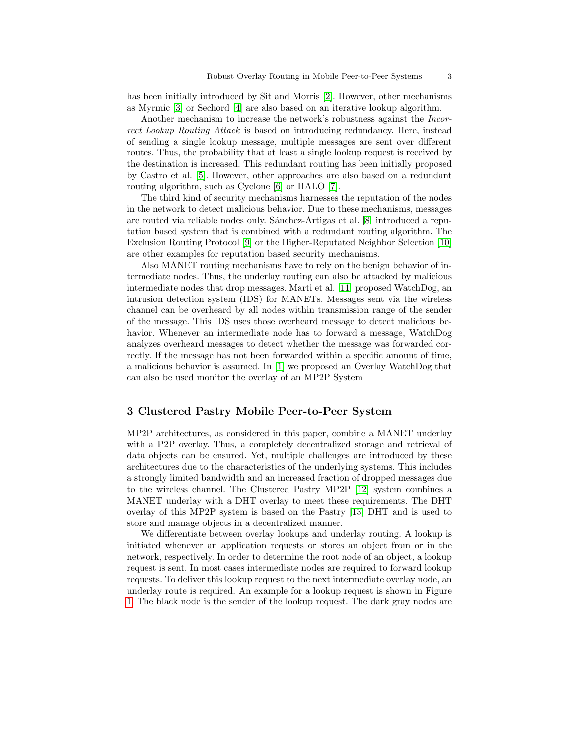has been initially introduced by Sit and Morris [\[2\]](#page-11-1). However, other mechanisms as Myrmic [\[3\]](#page-11-2) or Sechord [\[4\]](#page-11-3) are also based on an iterative lookup algorithm.

Another mechanism to increase the network's robustness against the Incorrect Lookup Routing Attack is based on introducing redundancy. Here, instead of sending a single lookup message, multiple messages are sent over different routes. Thus, the probability that at least a single lookup request is received by the destination is increased. This redundant routing has been initially proposed by Castro et al. [\[5\]](#page-11-4). However, other approaches are also based on a redundant routing algorithm, such as Cyclone [\[6\]](#page-11-5) or HALO [\[7\]](#page-11-6).

The third kind of security mechanisms harnesses the reputation of the nodes in the network to detect malicious behavior. Due to these mechanisms, messages are routed via reliable nodes only. Sánchez-Artigas et al. [\[8\]](#page-11-7) introduced a reputation based system that is combined with a redundant routing algorithm. The Exclusion Routing Protocol [\[9\]](#page-11-8) or the Higher-Reputated Neighbor Selection [\[10\]](#page-11-9) are other examples for reputation based security mechanisms.

Also MANET routing mechanisms have to rely on the benign behavior of intermediate nodes. Thus, the underlay routing can also be attacked by malicious intermediate nodes that drop messages. Marti et al. [\[11\]](#page-11-10) proposed WatchDog, an intrusion detection system (IDS) for MANETs. Messages sent via the wireless channel can be overheard by all nodes within transmission range of the sender of the message. This IDS uses those overheard message to detect malicious behavior. Whenever an intermediate node has to forward a message, WatchDog analyzes overheard messages to detect whether the message was forwarded correctly. If the message has not been forwarded within a specific amount of time, a malicious behavior is assumed. In [\[1\]](#page-11-0) we proposed an Overlay WatchDog that can also be used monitor the overlay of an MP2P System

## 3 Clustered Pastry Mobile Peer-to-Peer System

MP2P architectures, as considered in this paper, combine a MANET underlay with a P2P overlay. Thus, a completely decentralized storage and retrieval of data objects can be ensured. Yet, multiple challenges are introduced by these architectures due to the characteristics of the underlying systems. This includes a strongly limited bandwidth and an increased fraction of dropped messages due to the wireless channel. The Clustered Pastry MP2P [\[12\]](#page-11-11) system combines a MANET underlay with a DHT overlay to meet these requirements. The DHT overlay of this MP2P system is based on the Pastry [\[13\]](#page-11-12) DHT and is used to store and manage objects in a decentralized manner.

We differentiate between overlay lookups and underlay routing. A lookup is initiated whenever an application requests or stores an object from or in the network, respectively. In order to determine the root node of an object, a lookup request is sent. In most cases intermediate nodes are required to forward lookup requests. To deliver this lookup request to the next intermediate overlay node, an underlay route is required. An example for a lookup request is shown in Figure [1.](#page-3-0) The black node is the sender of the lookup request. The dark gray nodes are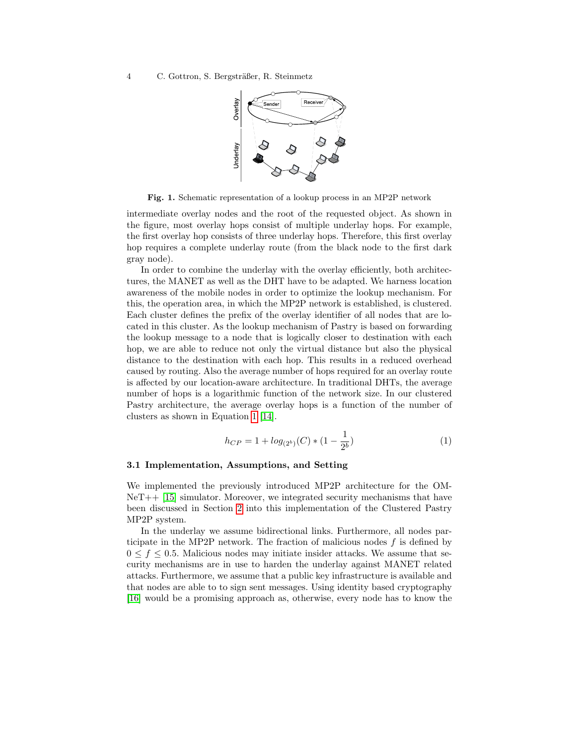

<span id="page-3-0"></span>Fig. 1. Schematic representation of a lookup process in an MP2P network

intermediate overlay nodes and the root of the requested object. As shown in the figure, most overlay hops consist of multiple underlay hops. For example, the first overlay hop consists of three underlay hops. Therefore, this first overlay hop requires a complete underlay route (from the black node to the first dark gray node).

In order to combine the underlay with the overlay efficiently, both architectures, the MANET as well as the DHT have to be adapted. We harness location awareness of the mobile nodes in order to optimize the lookup mechanism. For this, the operation area, in which the MP2P network is established, is clustered. Each cluster defines the prefix of the overlay identifier of all nodes that are located in this cluster. As the lookup mechanism of Pastry is based on forwarding the lookup message to a node that is logically closer to destination with each hop, we are able to reduce not only the virtual distance but also the physical distance to the destination with each hop. This results in a reduced overhead caused by routing. Also the average number of hops required for an overlay route is affected by our location-aware architecture. In traditional DHTs, the average number of hops is a logarithmic function of the network size. In our clustered Pastry architecture, the average overlay hops is a function of the number of clusters as shown in Equation [1](#page-3-1) [\[14\]](#page-11-13).

<span id="page-3-1"></span>
$$
h_{CP} = 1 + \log_{(2^b)}(C) * (1 - \frac{1}{2^b})
$$
\n(1)

### 3.1 Implementation, Assumptions, and Setting

We implemented the previously introduced MP2P architecture for the OM- $NeT++$  [\[15\]](#page-11-14) simulator. Moreover, we integrated security mechanisms that have been discussed in Section [2](#page-1-0) into this implementation of the Clustered Pastry MP2P system.

In the underlay we assume bidirectional links. Furthermore, all nodes participate in the MP2P network. The fraction of malicious nodes  $f$  is defined by  $0 \leq f \leq 0.5$ . Malicious nodes may initiate insider attacks. We assume that security mechanisms are in use to harden the underlay against MANET related attacks. Furthermore, we assume that a public key infrastructure is available and that nodes are able to to sign sent messages. Using identity based cryptography [\[16\]](#page-11-15) would be a promising approach as, otherwise, every node has to know the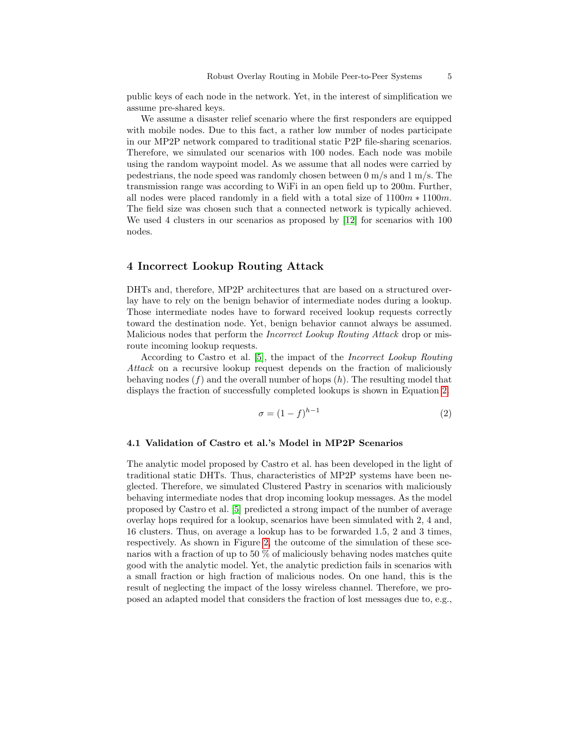public keys of each node in the network. Yet, in the interest of simplification we assume pre-shared keys.

We assume a disaster relief scenario where the first responders are equipped with mobile nodes. Due to this fact, a rather low number of nodes participate in our MP2P network compared to traditional static P2P file-sharing scenarios. Therefore, we simulated our scenarios with 100 nodes. Each node was mobile using the random waypoint model. As we assume that all nodes were carried by pedestrians, the node speed was randomly chosen between  $0 \text{ m/s}$  and  $1 \text{ m/s}$ . The transmission range was according to WiFi in an open field up to 200m. Further, all nodes were placed randomly in a field with a total size of  $1100m * 1100m$ . The field size was chosen such that a connected network is typically achieved. We used 4 clusters in our scenarios as proposed by [\[12\]](#page-11-11) for scenarios with 100 nodes.

## 4 Incorrect Lookup Routing Attack

DHTs and, therefore, MP2P architectures that are based on a structured overlay have to rely on the benign behavior of intermediate nodes during a lookup. Those intermediate nodes have to forward received lookup requests correctly toward the destination node. Yet, benign behavior cannot always be assumed. Malicious nodes that perform the Incorrect Lookup Routing Attack drop or misroute incoming lookup requests.

According to Castro et al. [\[5\]](#page-11-4), the impact of the Incorrect Lookup Routing Attack on a recursive lookup request depends on the fraction of maliciously behaving nodes  $(f)$  and the overall number of hops  $(h)$ . The resulting model that displays the fraction of successfully completed lookups is shown in Equation [2.](#page-4-0)

<span id="page-4-0"></span>
$$
\sigma = (1 - f)^{h-1} \tag{2}
$$

### 4.1 Validation of Castro et al.'s Model in MP2P Scenarios

The analytic model proposed by Castro et al. has been developed in the light of traditional static DHTs. Thus, characteristics of MP2P systems have been neglected. Therefore, we simulated Clustered Pastry in scenarios with maliciously behaving intermediate nodes that drop incoming lookup messages. As the model proposed by Castro et al. [\[5\]](#page-11-4) predicted a strong impact of the number of average overlay hops required for a lookup, scenarios have been simulated with 2, 4 and, 16 clusters. Thus, on average a lookup has to be forwarded 1.5, 2 and 3 times, respectively. As shown in Figure [2,](#page-5-0) the outcome of the simulation of these scenarios with a fraction of up to 50 % of maliciously behaving nodes matches quite good with the analytic model. Yet, the analytic prediction fails in scenarios with a small fraction or high fraction of malicious nodes. On one hand, this is the result of neglecting the impact of the lossy wireless channel. Therefore, we proposed an adapted model that considers the fraction of lost messages due to, e.g.,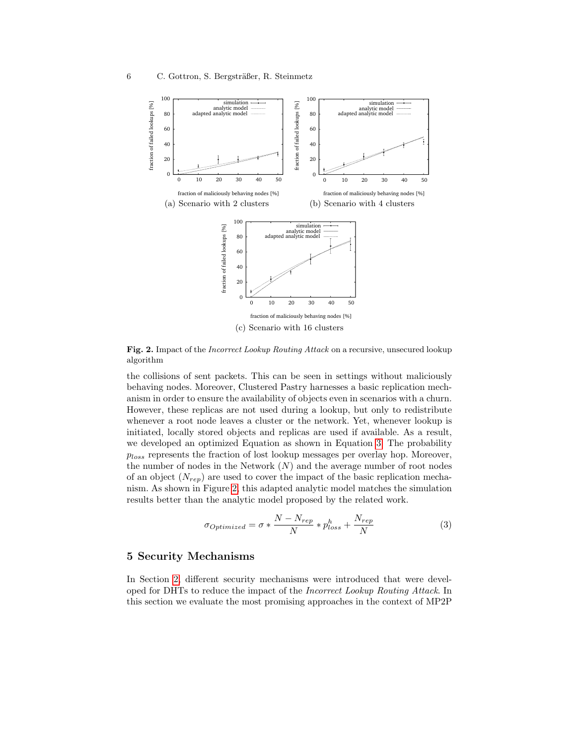

<span id="page-5-0"></span>Fig. 2. Impact of the *Incorrect Lookup Routing Attack* on a recursive, unsecured lookup algorithm

the collisions of sent packets. This can be seen in settings without maliciously behaving nodes. Moreover, Clustered Pastry harnesses a basic replication mechanism in order to ensure the availability of objects even in scenarios with a churn. However, these replicas are not used during a lookup, but only to redistribute whenever a root node leaves a cluster or the network. Yet, whenever lookup is initiated, locally stored objects and replicas are used if available. As a result, we developed an optimized Equation as shown in Equation [3.](#page-5-1) The probability  $p_{loss}$  represents the fraction of lost lookup messages per overlay hop. Moreover, the number of nodes in the Network  $(N)$  and the average number of root nodes of an object  $(N_{rep})$  are used to cover the impact of the basic replication mechanism. As shown in Figure [2,](#page-5-0) this adapted analytic model matches the simulation results better than the analytic model proposed by the related work.

<span id="page-5-1"></span>
$$
\sigma_{Optimized} = \sigma * \frac{N - N_{rep}}{N} * p_{loss}^h + \frac{N_{rep}}{N}
$$
\n(3)

# 5 Security Mechanisms

In Section [2,](#page-1-0) different security mechanisms were introduced that were developed for DHTs to reduce the impact of the Incorrect Lookup Routing Attack. In this section we evaluate the most promising approaches in the context of MP2P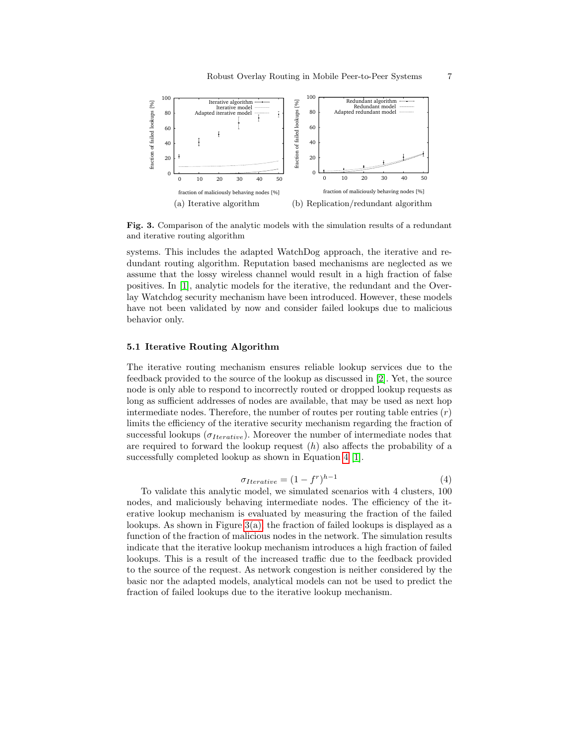<span id="page-6-1"></span>

<span id="page-6-2"></span>Fig. 3. Comparison of the analytic models with the simulation results of a redundant and iterative routing algorithm

systems. This includes the adapted WatchDog approach, the iterative and redundant routing algorithm. Reputation based mechanisms are neglected as we assume that the lossy wireless channel would result in a high fraction of false positives. In [\[1\]](#page-11-0), analytic models for the iterative, the redundant and the Overlay Watchdog security mechanism have been introduced. However, these models have not been validated by now and consider failed lookups due to malicious behavior only.

### 5.1 Iterative Routing Algorithm

The iterative routing mechanism ensures reliable lookup services due to the feedback provided to the source of the lookup as discussed in [\[2\]](#page-11-1). Yet, the source node is only able to respond to incorrectly routed or dropped lookup requests as long as sufficient addresses of nodes are available, that may be used as next hop intermediate nodes. Therefore, the number of routes per routing table entries  $(r)$ limits the efficiency of the iterative security mechanism regarding the fraction of successful lookups ( $\sigma_{Iterative}$ ). Moreover the number of intermediate nodes that are required to forward the lookup request  $(h)$  also affects the probability of a successfully completed lookup as shown in Equation [4](#page-6-0) [\[1\]](#page-11-0).

<span id="page-6-0"></span>
$$
\sigma_{Iterative} = (1 - f^r)^{h-1} \tag{4}
$$

To validate this analytic model, we simulated scenarios with 4 clusters, 100 nodes, and maliciously behaving intermediate nodes. The efficiency of the iterative lookup mechanism is evaluated by measuring the fraction of the failed lookups. As shown in Figure  $3(a)$ , the fraction of failed lookups is displayed as a function of the fraction of malicious nodes in the network. The simulation results indicate that the iterative lookup mechanism introduces a high fraction of failed lookups. This is a result of the increased traffic due to the feedback provided to the source of the request. As network congestion is neither considered by the basic nor the adapted models, analytical models can not be used to predict the fraction of failed lookups due to the iterative lookup mechanism.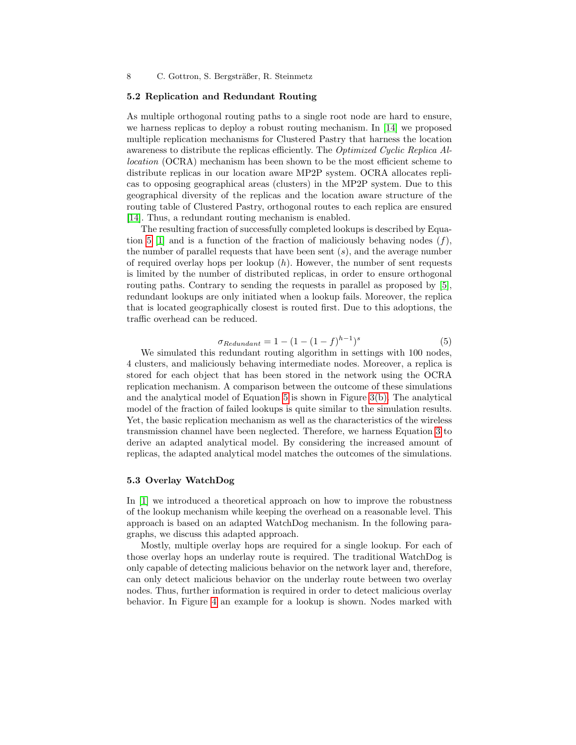#### 5.2 Replication and Redundant Routing

As multiple orthogonal routing paths to a single root node are hard to ensure, we harness replicas to deploy a robust routing mechanism. In [\[14\]](#page-11-13) we proposed multiple replication mechanisms for Clustered Pastry that harness the location awareness to distribute the replicas efficiently. The Optimized Cyclic Replica Allocation (OCRA) mechanism has been shown to be the most efficient scheme to distribute replicas in our location aware MP2P system. OCRA allocates replicas to opposing geographical areas (clusters) in the MP2P system. Due to this geographical diversity of the replicas and the location aware structure of the routing table of Clustered Pastry, orthogonal routes to each replica are ensured [\[14\]](#page-11-13). Thus, a redundant routing mechanism is enabled.

The resulting fraction of successfully completed lookups is described by Equa-tion [5](#page-7-0) [\[1\]](#page-11-0) and is a function of the fraction of maliciously behaving nodes  $(f)$ , the number of parallel requests that have been sent  $(s)$ , and the average number of required overlay hops per lookup  $(h)$ . However, the number of sent requests is limited by the number of distributed replicas, in order to ensure orthogonal routing paths. Contrary to sending the requests in parallel as proposed by [\[5\]](#page-11-4), redundant lookups are only initiated when a lookup fails. Moreover, the replica that is located geographically closest is routed first. Due to this adoptions, the traffic overhead can be reduced.

<span id="page-7-0"></span>
$$
\sigma_{Redundant} = 1 - (1 - (1 - f)^{h-1})^s \tag{5}
$$

We simulated this redundant routing algorithm in settings with 100 nodes, 4 clusters, and maliciously behaving intermediate nodes. Moreover, a replica is stored for each object that has been stored in the network using the OCRA replication mechanism. A comparison between the outcome of these simulations and the analytical model of Equation [5](#page-7-0) is shown in Figure [3\(b\).](#page-6-2) The analytical model of the fraction of failed lookups is quite similar to the simulation results. Yet, the basic replication mechanism as well as the characteristics of the wireless transmission channel have been neglected. Therefore, we harness Equation [3](#page-5-1) to derive an adapted analytical model. By considering the increased amount of replicas, the adapted analytical model matches the outcomes of the simulations.

## 5.3 Overlay WatchDog

In [\[1\]](#page-11-0) we introduced a theoretical approach on how to improve the robustness of the lookup mechanism while keeping the overhead on a reasonable level. This approach is based on an adapted WatchDog mechanism. In the following paragraphs, we discuss this adapted approach.

Mostly, multiple overlay hops are required for a single lookup. For each of those overlay hops an underlay route is required. The traditional WatchDog is only capable of detecting malicious behavior on the network layer and, therefore, can only detect malicious behavior on the underlay route between two overlay nodes. Thus, further information is required in order to detect malicious overlay behavior. In Figure [4](#page-8-0) an example for a lookup is shown. Nodes marked with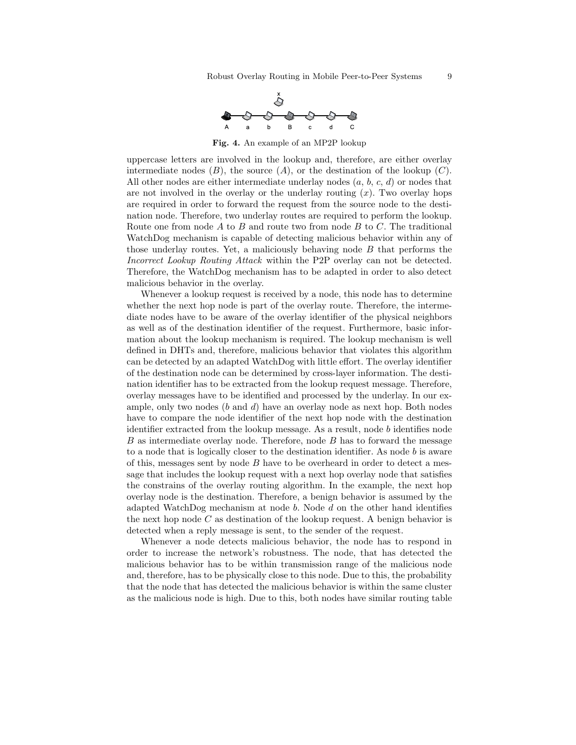

<span id="page-8-0"></span>Fig. 4. An example of an MP2P lookup

uppercase letters are involved in the lookup and, therefore, are either overlay intermediate nodes  $(B)$ , the source  $(A)$ , or the destination of the lookup  $(C)$ . All other nodes are either intermediate underlay nodes  $(a, b, c, d)$  or nodes that are not involved in the overlay or the underlay routing  $(x)$ . Two overlay hops are required in order to forward the request from the source node to the destination node. Therefore, two underlay routes are required to perform the lookup. Route one from node  $A$  to  $B$  and route two from node  $B$  to  $C$ . The traditional WatchDog mechanism is capable of detecting malicious behavior within any of those underlay routes. Yet, a maliciously behaving node  $B$  that performs the Incorrect Lookup Routing Attack within the P2P overlay can not be detected. Therefore, the WatchDog mechanism has to be adapted in order to also detect malicious behavior in the overlay.

Whenever a lookup request is received by a node, this node has to determine whether the next hop node is part of the overlay route. Therefore, the intermediate nodes have to be aware of the overlay identifier of the physical neighbors as well as of the destination identifier of the request. Furthermore, basic information about the lookup mechanism is required. The lookup mechanism is well defined in DHTs and, therefore, malicious behavior that violates this algorithm can be detected by an adapted WatchDog with little effort. The overlay identifier of the destination node can be determined by cross-layer information. The destination identifier has to be extracted from the lookup request message. Therefore, overlay messages have to be identified and processed by the underlay. In our example, only two nodes  $(b \text{ and } d)$  have an overlay node as next hop. Both nodes have to compare the node identifier of the next hop node with the destination identifier extracted from the lookup message. As a result, node b identifies node B as intermediate overlay node. Therefore, node B has to forward the message to a node that is logically closer to the destination identifier. As node  $b$  is aware of this, messages sent by node  $B$  have to be overheard in order to detect a message that includes the lookup request with a next hop overlay node that satisfies the constrains of the overlay routing algorithm. In the example, the next hop overlay node is the destination. Therefore, a benign behavior is assumed by the adapted WatchDog mechanism at node b. Node d on the other hand identifies the next hop node  $C$  as destination of the lookup request. A benign behavior is detected when a reply message is sent, to the sender of the request.

Whenever a node detects malicious behavior, the node has to respond in order to increase the network's robustness. The node, that has detected the malicious behavior has to be within transmission range of the malicious node and, therefore, has to be physically close to this node. Due to this, the probability that the node that has detected the malicious behavior is within the same cluster as the malicious node is high. Due to this, both nodes have similar routing table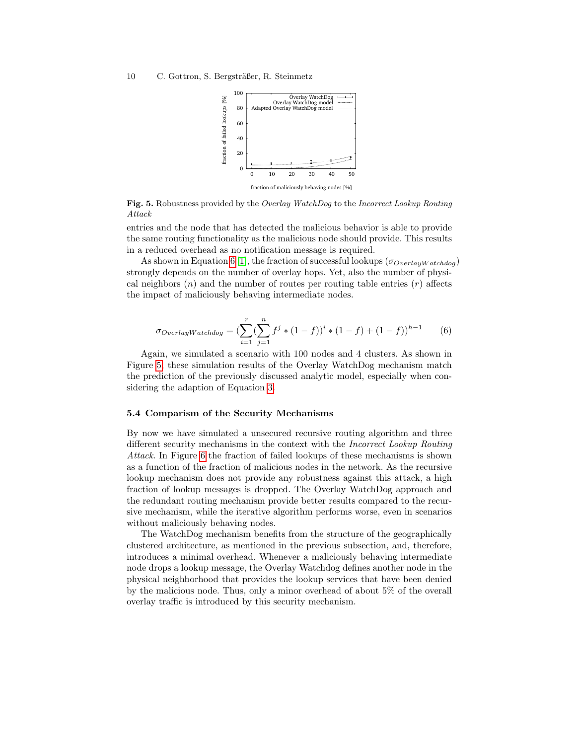

<span id="page-9-1"></span>Fig. 5. Robustness provided by the Overlay WatchDog to the Incorrect Lookup Routing Attack

entries and the node that has detected the malicious behavior is able to provide the same routing functionality as the malicious node should provide. This results in a reduced overhead as no notification message is required.

As shown in Equation [6](#page-9-0) [\[1\]](#page-11-0), the fraction of successful lookups ( $\sigma_{OverallW atchdog}$ ) strongly depends on the number of overlay hops. Yet, also the number of physical neighbors  $(n)$  and the number of routes per routing table entries  $(r)$  affects the impact of maliciously behaving intermediate nodes.

<span id="page-9-0"></span>
$$
\sigma_{OverlayWatchdog} = \left(\sum_{i=1}^{r} \left(\sum_{j=1}^{n} f^j * (1-f)\right)^i * (1-f) + (1-f)\right)^{h-1} \tag{6}
$$

Again, we simulated a scenario with 100 nodes and 4 clusters. As shown in Figure [5,](#page-9-1) these simulation results of the Overlay WatchDog mechanism match the prediction of the previously discussed analytic model, especially when considering the adaption of Equation [3.](#page-5-1)

### 5.4 Comparism of the Security Mechanisms

By now we have simulated a unsecured recursive routing algorithm and three different security mechanisms in the context with the Incorrect Lookup Routing Attack. In Figure [6](#page-10-0) the fraction of failed lookups of these mechanisms is shown as a function of the fraction of malicious nodes in the network. As the recursive lookup mechanism does not provide any robustness against this attack, a high fraction of lookup messages is dropped. The Overlay WatchDog approach and the redundant routing mechanism provide better results compared to the recursive mechanism, while the iterative algorithm performs worse, even in scenarios without maliciously behaving nodes.

The WatchDog mechanism benefits from the structure of the geographically clustered architecture, as mentioned in the previous subsection, and, therefore, introduces a minimal overhead. Whenever a maliciously behaving intermediate node drops a lookup message, the Overlay Watchdog defines another node in the physical neighborhood that provides the lookup services that have been denied by the malicious node. Thus, only a minor overhead of about 5% of the overall overlay traffic is introduced by this security mechanism.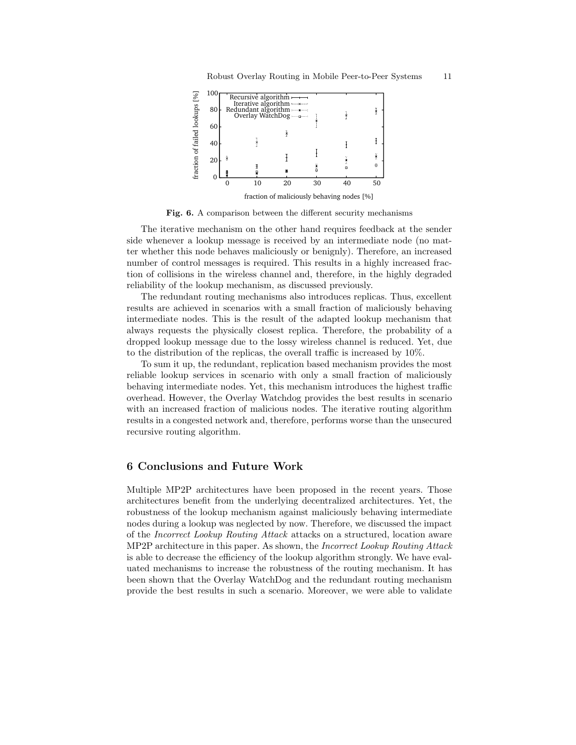

<span id="page-10-0"></span>Fig. 6. A comparison between the different security mechanisms

The iterative mechanism on the other hand requires feedback at the sender side whenever a lookup message is received by an intermediate node (no matter whether this node behaves maliciously or benignly). Therefore, an increased number of control messages is required. This results in a highly increased fraction of collisions in the wireless channel and, therefore, in the highly degraded reliability of the lookup mechanism, as discussed previously.

The redundant routing mechanisms also introduces replicas. Thus, excellent results are achieved in scenarios with a small fraction of maliciously behaving intermediate nodes. This is the result of the adapted lookup mechanism that always requests the physically closest replica. Therefore, the probability of a dropped lookup message due to the lossy wireless channel is reduced. Yet, due to the distribution of the replicas, the overall traffic is increased by 10%.

To sum it up, the redundant, replication based mechanism provides the most reliable lookup services in scenario with only a small fraction of maliciously behaving intermediate nodes. Yet, this mechanism introduces the highest traffic overhead. However, the Overlay Watchdog provides the best results in scenario with an increased fraction of malicious nodes. The iterative routing algorithm results in a congested network and, therefore, performs worse than the unsecured recursive routing algorithm.

## 6 Conclusions and Future Work

Multiple MP2P architectures have been proposed in the recent years. Those architectures benefit from the underlying decentralized architectures. Yet, the robustness of the lookup mechanism against maliciously behaving intermediate nodes during a lookup was neglected by now. Therefore, we discussed the impact of the Incorrect Lookup Routing Attack attacks on a structured, location aware MP2P architecture in this paper. As shown, the *Incorrect Lookup Routing Attack* is able to decrease the efficiency of the lookup algorithm strongly. We have evaluated mechanisms to increase the robustness of the routing mechanism. It has been shown that the Overlay WatchDog and the redundant routing mechanism provide the best results in such a scenario. Moreover, we were able to validate